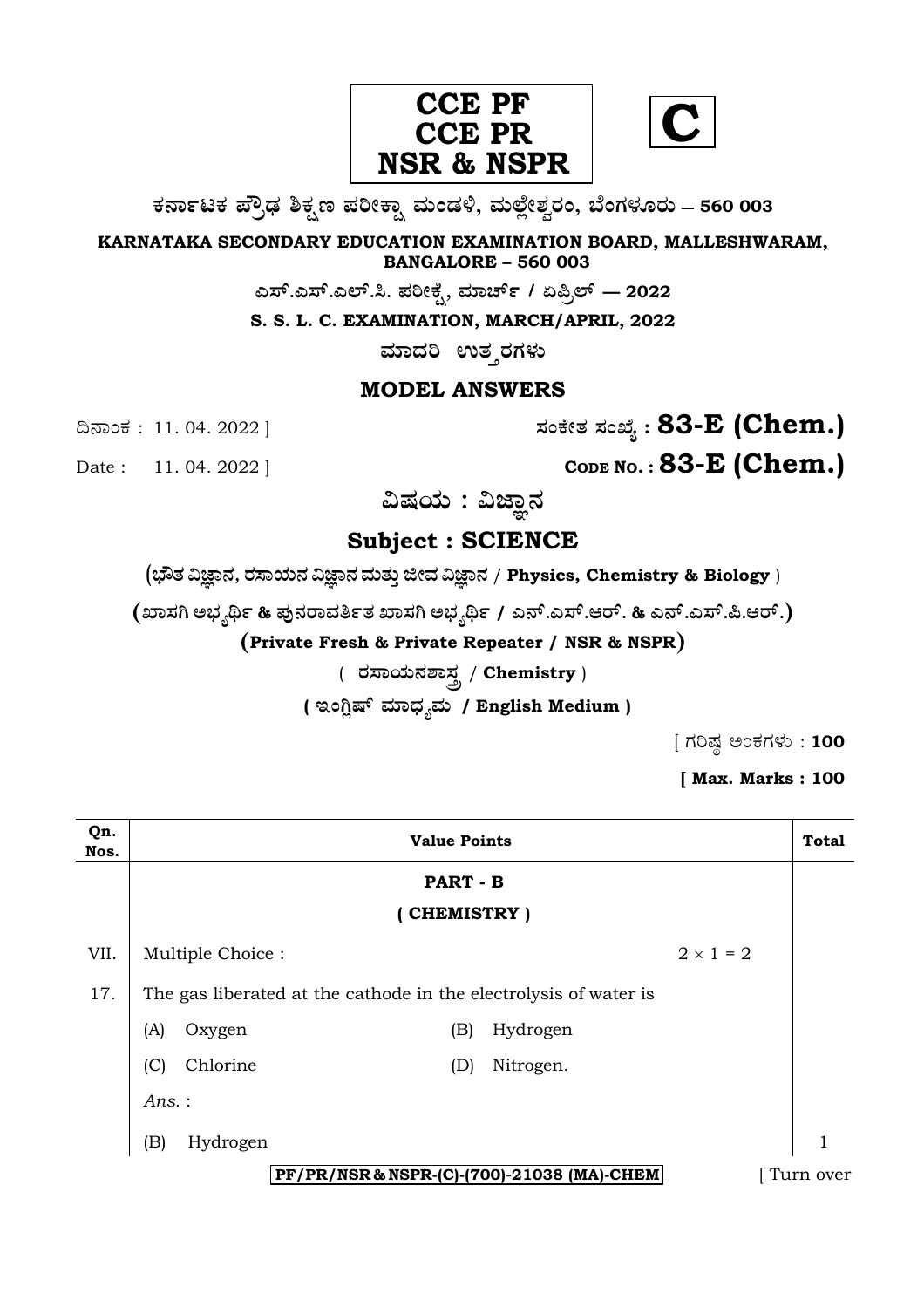

**C**

**O⁄´¤%lO⁄ ÆË√v⁄ ÃO⁄–y Æ⁄¬fiO¤– »⁄flMs⁄ÿ, »⁄fl≈Ê«fiÀ⁄ ¡⁄M, ∑ÊMV⁄◊⁄‡¡⁄fl — 560 003** 

**KARNATAKA SECONDARY EDUCATION EXAMINATION BOARD, MALLESHWARAM, BANGALORE – 560 003** 

**G—È.G—È.G≈È.". Æ⁄¬fiOÊ⁄–, »⁄·¤^È% / HØ√≈È — 2022**

**S. S. L. C. EXAMINATION, MARCH/APRIL, 2022** 

ಮಾದರಿ ಉತ**್ತರಗ**ಳು

## **MODEL ANSWERS**

¶´¤MO⁄ : 11. 04. 2022 ] **—⁄MOÊfi}⁄ —⁄MSÊ¿ : 83-E (Chem.)**

Date : 11. 04. 2022 | **CODE NO. : 83-E (Chem.)** 

ವಿಷಯ : ವಿಜ್ಞಾನ

# **Subject : SCIENCE**

(**»èñÜ ËþÝ®Ü, ÃÜÓÝ¿á®Ü ËþÝ®Ü ÊÜáñÜᤠiàÊÜ ËþÝ®Ü** / **Physics, Chemistry & Biology** )

**(S¤—⁄W @∫⁄¥¿£% & Æ⁄'¥´⁄¡¤»⁄~%}⁄S¤—⁄W @∫⁄¥¿£% / G´È.G—È.A¡È. & G´È.G—È.Ø.A¡È.)** 

**(Private Fresh & Private Repeater / NSR & NSPR)**

( **¡⁄—¤æ⁄fl´⁄À¤—⁄°** / **Chemistry** )

( ಇಂಗ್ಲಿಷ್ ಮಾಧ್ಯಮ / English Medium )

 $[$  ಗರಿಷ್ಠ ಅಂಕಗಳು : 100

**[ Max. Marks : 100** 

| Qn.<br>Nos.                                | <b>Value Points</b>                                              |                  | <b>Total</b> |
|--------------------------------------------|------------------------------------------------------------------|------------------|--------------|
|                                            |                                                                  | PART - B         |              |
|                                            | (CHEMISTRY)                                                      |                  |              |
| VII.                                       | Multiple Choice:                                                 | $2 \times 1 = 2$ |              |
| 17.                                        | The gas liberated at the cathode in the electrolysis of water is |                  |              |
|                                            | (A)<br>(B)<br>Oxygen                                             | Hydrogen         |              |
|                                            | Chlorine<br>(C)<br>(D)                                           | Nitrogen.        |              |
|                                            | Ans.:                                                            |                  |              |
|                                            | (B)<br>Hydrogen                                                  |                  | 1            |
| PF/PR/NSR & NSPR-(C)-(700)-21038 (MA)-CHEM |                                                                  |                  | Turn over    |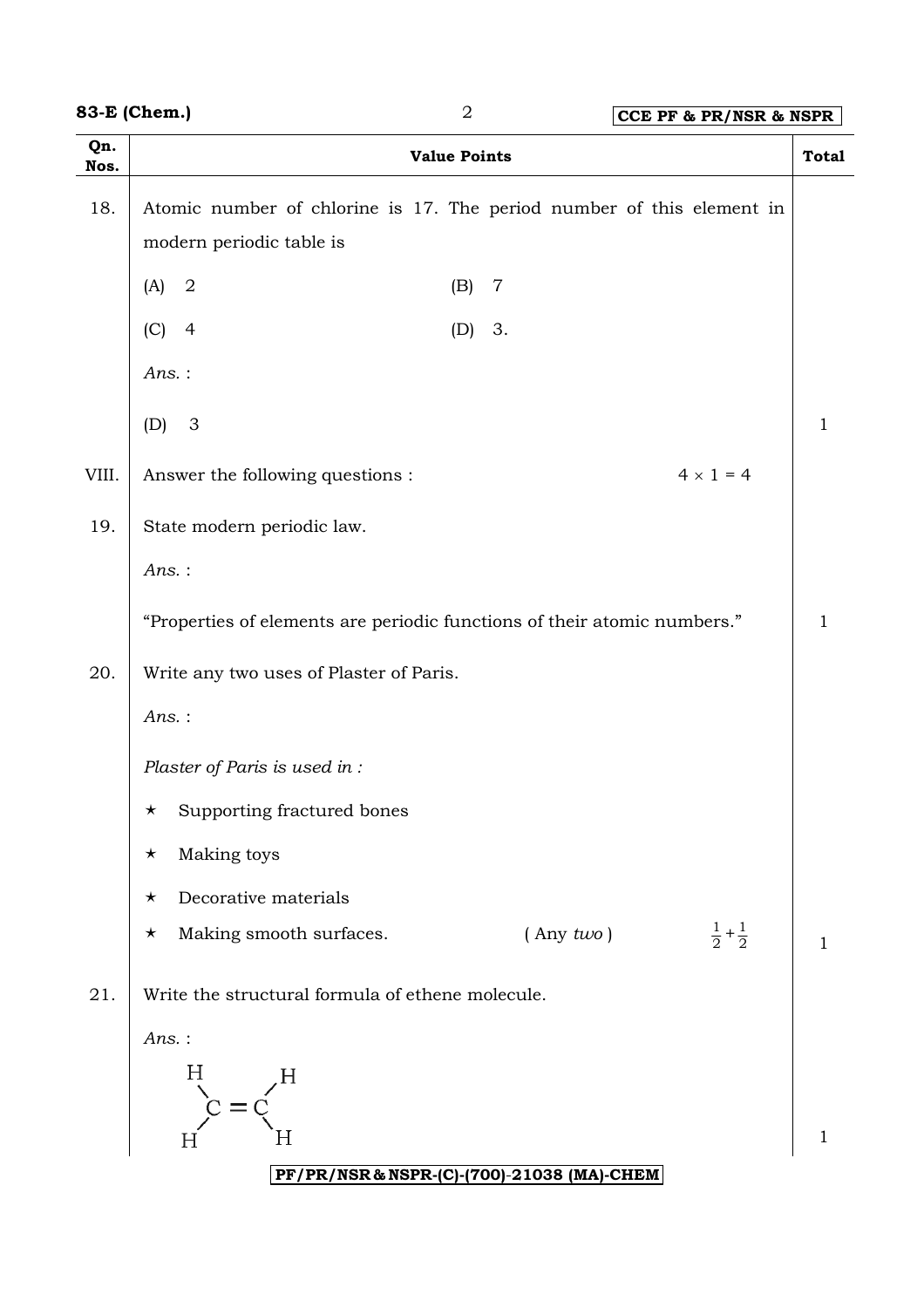|             | 83-E (Chem.)<br>$\sqrt{2}$<br>CCE PF & PR/NSR & NSPR                                              |              |  |  |
|-------------|---------------------------------------------------------------------------------------------------|--------------|--|--|
| Qn.<br>Nos. | <b>Value Points</b>                                                                               | <b>Total</b> |  |  |
| 18.         | Atomic number of chlorine is 17. The period number of this element in<br>modern periodic table is |              |  |  |
|             | $\mathbf 2$<br>(A)<br>(B)<br>$\overline{7}$                                                       |              |  |  |
|             | (C)<br>$\overline{4}$<br>3.<br>(D)                                                                |              |  |  |
|             | Ans.:                                                                                             |              |  |  |
|             | $\mathfrak{Z}$<br>(D)                                                                             | $\mathbf{1}$ |  |  |
| VIII.       | $4 \times 1 = 4$<br>Answer the following questions :                                              |              |  |  |
| 19.         | State modern periodic law.                                                                        |              |  |  |
|             | Ans.:                                                                                             |              |  |  |
|             | "Properties of elements are periodic functions of their atomic numbers."                          | $\mathbf{1}$ |  |  |
| 20.         | Write any two uses of Plaster of Paris.                                                           |              |  |  |
|             | Ans.:                                                                                             |              |  |  |
|             | Plaster of Paris is used in :                                                                     |              |  |  |
|             | Supporting fractured bones<br>$\star$                                                             |              |  |  |
|             | Making toys<br>$\star$                                                                            |              |  |  |
|             | Decorative materials<br>$\star$                                                                   |              |  |  |
|             | $rac{1}{2} + \frac{1}{2}$<br>Making smooth surfaces.<br>$($ Any $two)$<br>$\star$                 | 1            |  |  |
| 21.         | Write the structural formula of ethene molecule.                                                  |              |  |  |
|             | $Ans.$ :                                                                                          |              |  |  |
|             | H                                                                                                 |              |  |  |
|             |                                                                                                   |              |  |  |
|             | Η<br>PF/PR/NSR & NSPR-(C)-(700)-21038 (MA)-CHEM                                                   | 1            |  |  |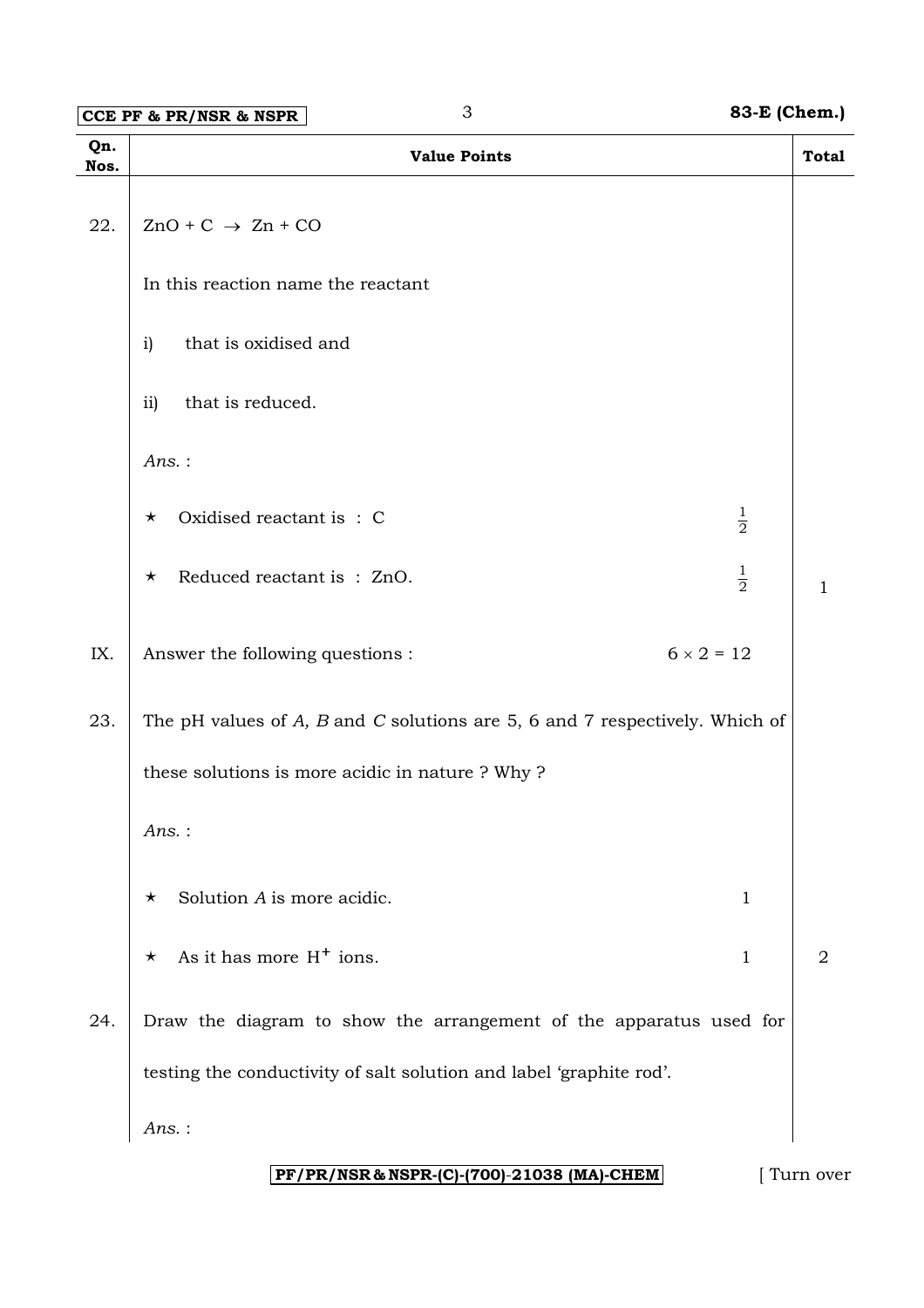**CCE PF & PR/NSR & NSPR** 3 **83-E (Chem.)** 

| Qn.<br>Nos. | <b>Value Points</b>                                                                | <b>Total</b>   |
|-------------|------------------------------------------------------------------------------------|----------------|
| 22.         | $ZnO + C \rightarrow Zn + CO$                                                      |                |
|             | In this reaction name the reactant                                                 |                |
|             | that is oxidised and<br>$\mathbf{i}$                                               |                |
|             | ii)<br>that is reduced.                                                            |                |
|             | Ans.:                                                                              |                |
|             | $\frac{1}{2}$<br>Oxidised reactant is: C<br>$\star$                                |                |
|             | $\frac{1}{2}$<br>Reduced reactant is: ZnO.<br>$\star$                              | 1              |
| IX.         | $6 \times 2 = 12$<br>Answer the following questions :                              |                |
| 23.         | The pH values of $A$ , $B$ and $C$ solutions are 5, 6 and 7 respectively. Which of |                |
|             | these solutions is more acidic in nature ? Why ?                                   |                |
|             | Ans.:                                                                              |                |
|             | Solution A is more acidic.<br>$\mathbf{1}$<br>$\star$                              |                |
|             | As it has more $H^+$ ions.<br>$\mathbf{1}$<br>$\star$                              | $\overline{2}$ |
| 24.         | Draw the diagram to show the arrangement of the apparatus used for                 |                |
|             | testing the conductivity of salt solution and label 'graphite rod'.                |                |
|             | Ans.:                                                                              |                |

## **PF/PR/NSR & NSPR-(C)-(700)**-**21038 (MA)-CHEM** [ Turn over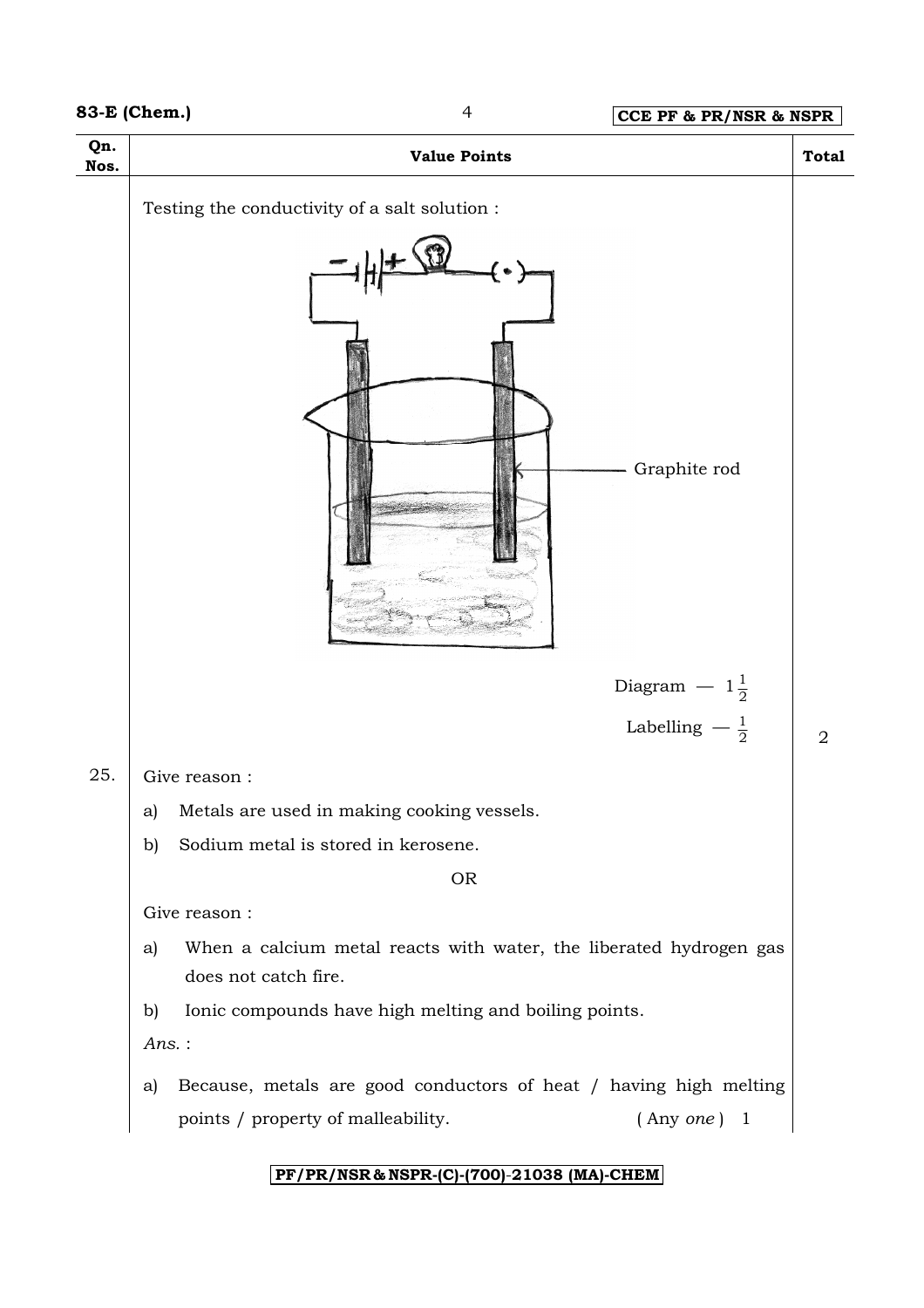

### **PF/PR/NSR & NSPR-(C)-(700)**-**21038 (MA)-CHEM**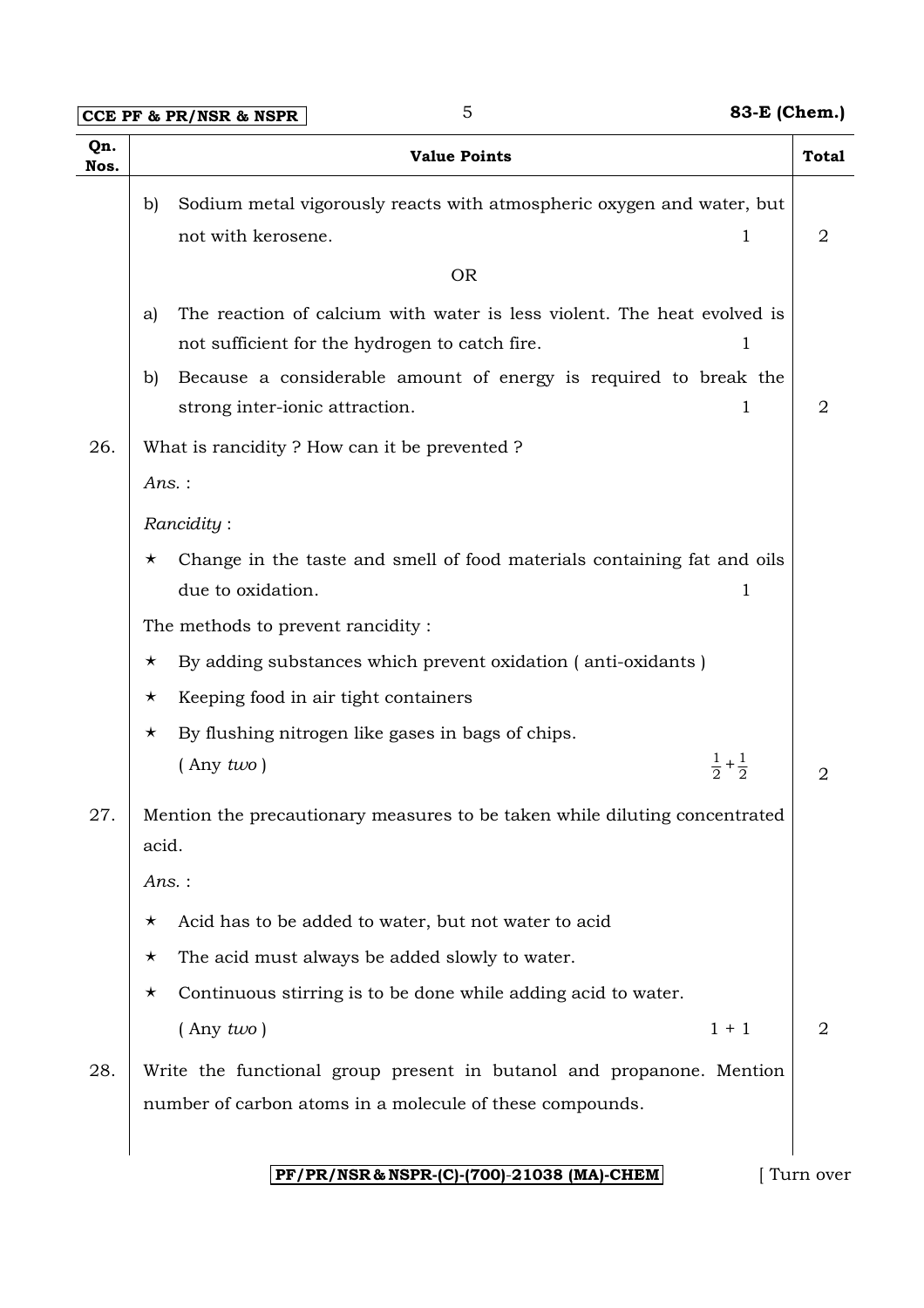**CCE PF & PR/NSR & NSPR** 5 **83-E (Chem.)** 

| Qn.<br>Nos. | <b>Value Points</b>                                                                                                                  | <b>Total</b>   |
|-------------|--------------------------------------------------------------------------------------------------------------------------------------|----------------|
|             | Sodium metal vigorously reacts with atmospheric oxygen and water, but<br>b)<br>not with kerosene.<br>1                               | $\overline{2}$ |
|             | <b>OR</b>                                                                                                                            |                |
|             | The reaction of calcium with water is less violent. The heat evolved is<br>a)<br>not sufficient for the hydrogen to catch fire.<br>1 |                |
|             | Because a considerable amount of energy is required to break the<br>b)<br>strong inter-ionic attraction.<br>1                        | 2              |
| 26.         | What is rancidity? How can it be prevented?                                                                                          |                |
|             | $Ans.$ :                                                                                                                             |                |
|             | Rancidity:                                                                                                                           |                |
|             | Change in the taste and smell of food materials containing fat and oils<br>$\star$                                                   |                |
|             | due to oxidation.<br>1                                                                                                               |                |
|             | The methods to prevent rancidity:                                                                                                    |                |
|             | By adding substances which prevent oxidation (anti-oxidants)<br>$\star$                                                              |                |
|             | Keeping food in air tight containers<br>$\star$                                                                                      |                |
|             | By flushing nitrogen like gases in bags of chips.<br>$\star$                                                                         |                |
|             | $rac{1}{2} + \frac{1}{2}$<br>$($ Any $two)$                                                                                          | 2              |
| 27.         | Mention the precautionary measures to be taken while diluting concentrated<br>acid.                                                  |                |
|             | Ans.:                                                                                                                                |                |
|             | Acid has to be added to water, but not water to acid<br>$\star$                                                                      |                |
|             | The acid must always be added slowly to water.<br>$\star$                                                                            |                |
|             | Continuous stirring is to be done while adding acid to water.<br>$\star$                                                             |                |
|             | $($ Any $two)$<br>$1 + 1$                                                                                                            | 2              |
| 28.         | Write the functional group present in butanol and propanone. Mention                                                                 |                |
|             | number of carbon atoms in a molecule of these compounds.                                                                             |                |
|             | PF/PR/NSR & NSPR-(C)-(700)-21038 (MA)-CHEM                                                                                           | Turn over      |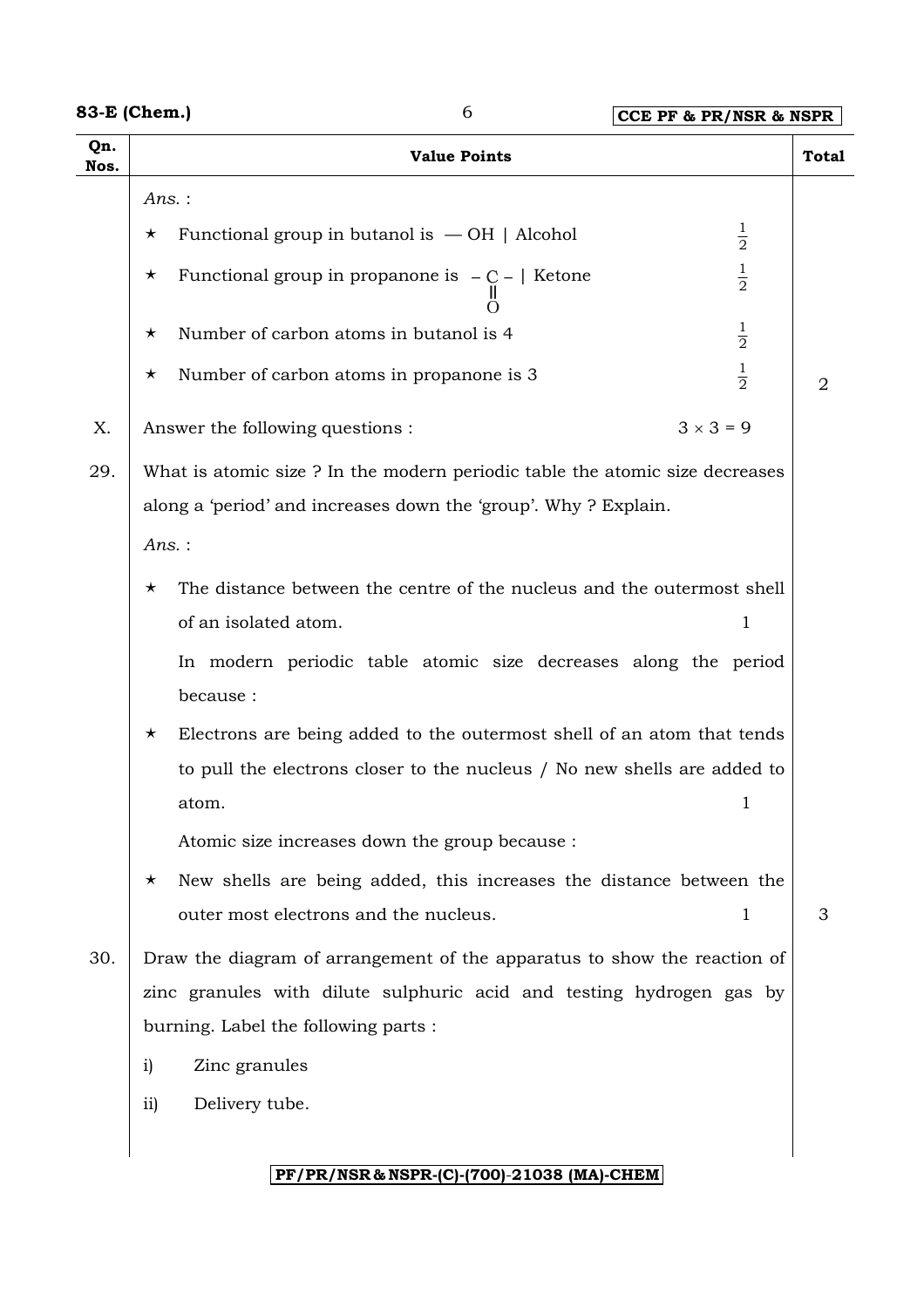## **83-E (Chem.)** 6 **CCE PF & PR/NSR & NSPR**

| Qn.<br>Nos. | <b>Value Points</b>                                                               | <b>Total</b> |  |
|-------------|-----------------------------------------------------------------------------------|--------------|--|
|             | $Ans.$ :                                                                          |              |  |
|             | $\frac{1}{2}$<br>Functional group in butanol is $-$ OH   Alcohol<br>$\star$       |              |  |
|             | $\frac{1}{2}$<br>Functional group in propanone is $-C -  $ Ketone<br>$\star$      |              |  |
|             | $\frac{1}{2}$<br>Number of carbon atoms in butanol is 4<br>$\star$                |              |  |
|             | $\frac{1}{2}$<br>Number of carbon atoms in propanone is 3<br>$\star$              | 2            |  |
| X.          | $3 \times 3 = 9$<br>Answer the following questions :                              |              |  |
| 29.         | What is atomic size? In the modern periodic table the atomic size decreases       |              |  |
|             | along a 'period' and increases down the 'group'. Why ? Explain.                   |              |  |
|             | $Ans.$ :                                                                          |              |  |
|             | The distance between the centre of the nucleus and the outermost shell<br>$\star$ |              |  |
|             | of an isolated atom.<br>$\mathbf 1$                                               |              |  |
|             | In modern periodic table atomic size decreases along the period                   |              |  |
|             | because:                                                                          |              |  |
|             | Electrons are being added to the outermost shell of an atom that tends<br>$\star$ |              |  |
|             | to pull the electrons closer to the nucleus / No new shells are added to          |              |  |
|             | $\mathbf 1$<br>atom.                                                              |              |  |
|             | Atomic size increases down the group because :                                    |              |  |
|             | New shells are being added, this increases the distance between the<br>$\star$    |              |  |
|             | outer most electrons and the nucleus.<br>$\mathbf 1$                              | 3            |  |
| 30.         | Draw the diagram of arrangement of the apparatus to show the reaction of          |              |  |
|             | zinc granules with dilute sulphuric acid and testing hydrogen gas by              |              |  |
|             | burning. Label the following parts :                                              |              |  |
|             | Zinc granules<br>$\mathbf{i}$                                                     |              |  |
|             | Delivery tube.<br>$\overline{11}$                                                 |              |  |
|             | PF/PR/NSR & NSPR-(C)-(700)-21038 (MA)-CHEM                                        |              |  |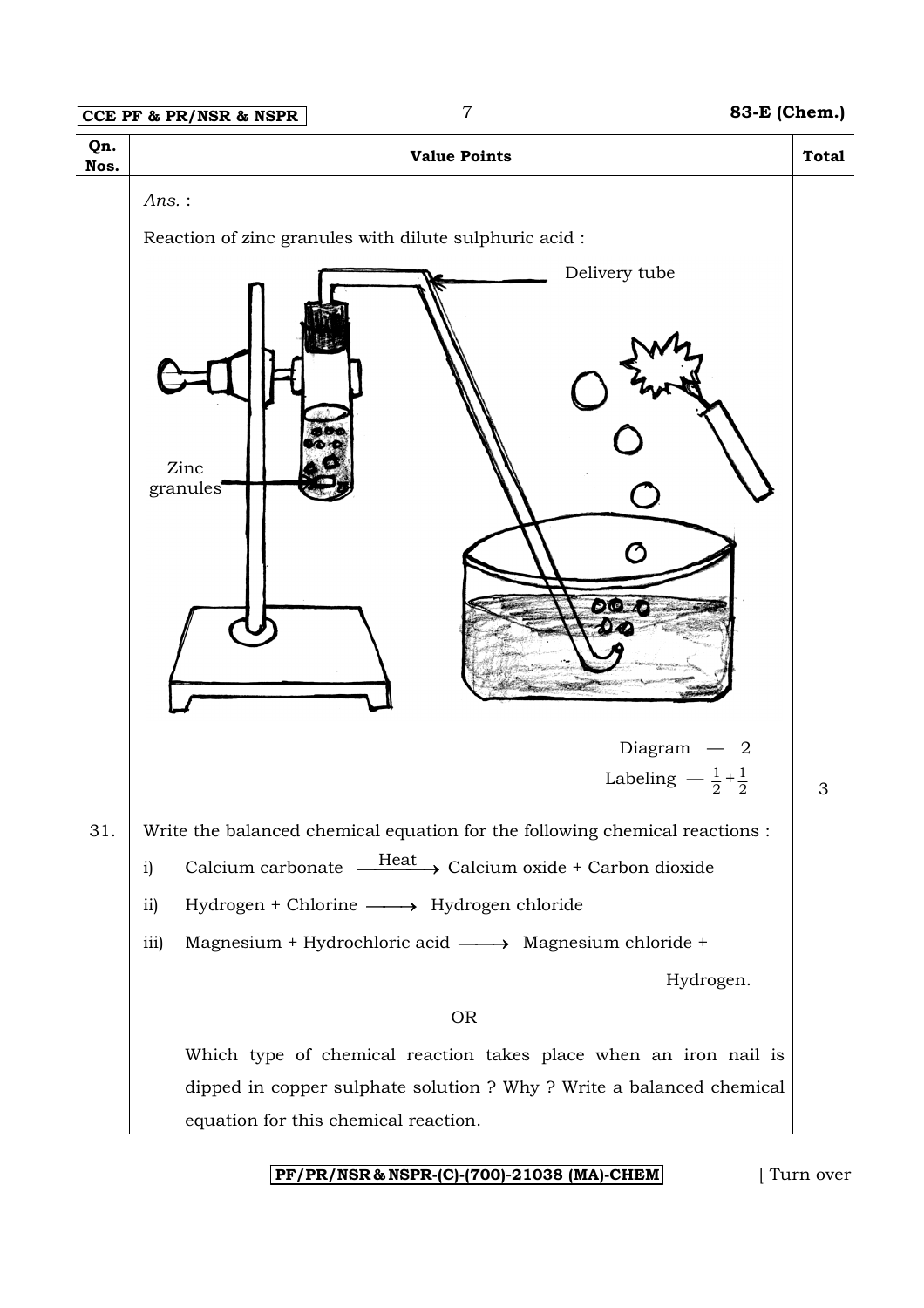

**PF/PR/NSR & NSPR-(C)-(700)**-**21038 (MA)-CHEM** [ Turn over